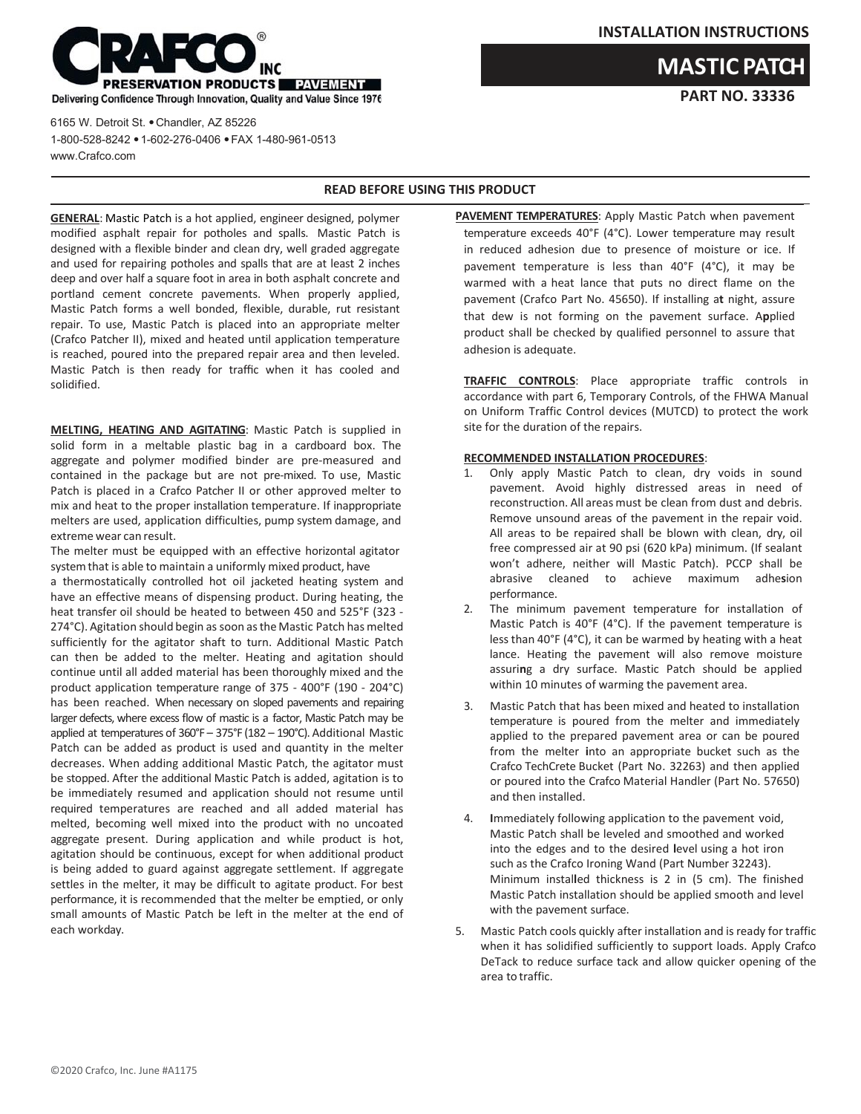

6165 W. Detroit St. . Chandler, AZ 85226 1-800-528-8242 1-602-276-0406 FAX 1-480-961-0513 [www.Crafco.com](http://www.crafco.com/)

## **READ BEFORE USING THIS PRODUCT**

**GENERAL**: Mastic Patch is a hot applied, engineer designed, polymer modified asphalt repair for potholes and spalls. Mastic Patch is designed with a flexible binder and clean dry, well graded aggregate and used for repairing potholes and spalls that are at least 2 inches deep and over half a square foot in area in both asphalt concrete and portland cement concrete pavements. When properly applied, Mastic Patch forms a well bonded, flexible, durable, rut resistant repair. To use, Mastic Patch is placed into an appropriate melter (Crafco Patcher II), mixed and heated until application temperature is reached, poured into the prepared repair area and then leveled. Mastic Patch is then ready for traffic when it has cooled and solidified.

**MELTING, HEATING AND AGITATING**: Mastic Patch is supplied in solid form in a meltable plastic bag in a cardboard box. The aggregate and polymer modified binder are pre‐measured and contained in the package but are not pre‐mixed. To use, Mastic Patch is placed in a Crafco Patcher II or other approved melter to mix and heat to the proper installation temperature. If inappropriate melters are used, application difficulties, pump system damage, and extreme wear can result.

The melter must be equipped with an effective horizontal agitator system that is able to maintain a uniformly mixed product, have

a thermostatically controlled hot oil jacketed heating system and have an effective means of dispensing product. During heating, the heat transfer oil should be heated to between 450 and 525°F (323 ‐ 274°C). Agitation should begin as soon asthe Mastic Patch has melted sufficiently for the agitator shaft to turn. Additional Mastic Patch can then be added to the melter. Heating and agitation should continue until all added material has been thoroughly mixed and the product application temperature range of 375 ‐ 400°F (190 ‐ 204°C) has been reached. When necessary on sloped pavements and repairing larger defects, where excess flow of mastic is a factor, Mastic Patch may be applied at temperatures of 360°F – 375°F (182 – 190°C). Additional Mastic Patch can be added as product is used and quantity in the melter decreases. When adding additional Mastic Patch, the agitator must be stopped. After the additional Mastic Patch is added, agitation is to be immediately resumed and application should not resume until required temperatures are reached and all added material has melted, becoming well mixed into the product with no uncoated aggregate present. During application and while product is hot, agitation should be continuous, except for when additional product is being added to guard against aggregate settlement. If aggregate settles in the melter, it may be difficult to agitate product. For best performance, it is recommended that the melter be emptied, or only small amounts of Mastic Patch be left in the melter at the end of each workday.

**PAVEMENT TEMPERATURES**: Apply Mastic Patch when pavement temperature exceeds 40°F (4°C). Lower temperature may result in reduced adhesion due to presence of moisture or ice. If pavement temperature is less than 40°F (4°C), it may be warmed with a heat lance that puts no direct flame on the pavement (Crafco Part No. 45650). If installing a**t** night, assure that dew is not forming on the pavement surface. A**p**plied product shall be checked by qualified personnel to assure that adhesion is adequate.

**TRAFFIC CONTROLS**: Place appropriate traffic controls in accordance with part 6, Temporary Controls, of the FHWA Manual on Uniform Traffic Control devices (MUTCD) to protect the work site for the duration of the repairs.

## **RECOMMENDED INSTALLATION PROCEDURES**:

- 1. Only apply Mastic Patch to clean, dry voids in sound pavement. Avoid highly distressed areas in need of reconstruction. All areas must be clean from dust and debris. Remove unsound areas of the pavement in the repair void. All areas to be repaired shall be blown with clean, dry, oil free compressed air at 90 psi (620 kPa) minimum. (If sealant won't adhere, neither will Mastic Patch). PCCP shall be abrasive cleaned to achieve maximum adhe**s**ion performance.
- 2. The minimum pavement temperature for installation of Mastic Patch is 40°F (4°C). If the pavement temperature is lessthan 40°F (4°C), it can be warmed by heating with a heat lance. Heating the pavement will also remove moisture assuri**n**g a dry surface. Mastic Patch should be applied within 10 minutes of warming the pavement area.
- 3. Mastic Patch that has been mixed and heated to installation temperature is poured from the melter and immediately applied to the prepared pavement area or can be poured from the melter **i**nto an appropriate bucket such as the Crafco TechCrete Bucket (Part No. 32263) and then applied or poured into the Crafco Material Handler (Part No. 57650) and then installed.
- 4. **I**mmediately following application to the pavement void, Mastic Patch shall be leveled and smoothed and worked into the edges and to the desired **l**evel using a hot iron such as the Crafco Ironing Wand (Part Number 32243). Minimum instal**l**ed thickness is 2 in (5 cm). The finished Mastic Patch installation should be applied smooth and level with the pavement surface.
- 5. Mastic Patch cools quickly after installation and isready for traffic when it has solidified sufficiently to support loads. Apply Crafco DeTack to reduce surface tack and allow quicker opening of the area to traffic.

**PART NO. 33336 MASTIC PATCH**